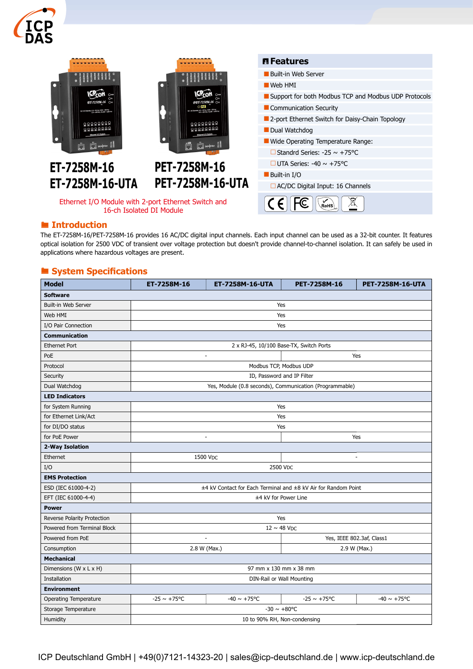



16-ch Isolated DI Module

#### **E** Introduction

The ET-7258M-16/PET-7258M-16 provides 16 AC/DC digital input channels. Each input channel can be used as a 32-bit counter. It features optical isolation for 2500 VDC of transient over voltage protection but doesn't provide channel-to-channel isolation. It can safely be used in applications where hazardous voltages are present.

### System Specifications

| <b>Model</b>                 | ET-7258M-16                                                    | ET-7258M-16-UTA         | PET-7258M-16              | PET-7258M-16-UTA         |  |  |
|------------------------------|----------------------------------------------------------------|-------------------------|---------------------------|--------------------------|--|--|
| <b>Software</b>              |                                                                |                         |                           |                          |  |  |
| Built-in Web Server          | Yes                                                            |                         |                           |                          |  |  |
| Web HMI                      | Yes                                                            |                         |                           |                          |  |  |
| I/O Pair Connection          | Yes                                                            |                         |                           |                          |  |  |
| <b>Communication</b>         |                                                                |                         |                           |                          |  |  |
| <b>Ethernet Port</b>         | 2 x RJ-45, 10/100 Base-TX, Switch Ports                        |                         |                           |                          |  |  |
| PoE                          | $\overline{a}$                                                 |                         | Yes                       |                          |  |  |
| Protocol                     | Modbus TCP, Modbus UDP                                         |                         |                           |                          |  |  |
| Security                     | ID, Password and IP Filter                                     |                         |                           |                          |  |  |
| Dual Watchdog                | Yes, Module (0.8 seconds), Communication (Programmable)        |                         |                           |                          |  |  |
| <b>LED Indicators</b>        |                                                                |                         |                           |                          |  |  |
| for System Running           | Yes                                                            |                         |                           |                          |  |  |
| for Ethernet Link/Act        | Yes                                                            |                         |                           |                          |  |  |
| for DI/DO status             | Yes                                                            |                         |                           |                          |  |  |
| for PoE Power                | Yes<br>ä,                                                      |                         |                           |                          |  |  |
| 2-Way Isolation              |                                                                |                         |                           |                          |  |  |
| Ethernet                     | 1500 VDC                                                       |                         | $\overline{\phantom{a}}$  |                          |  |  |
| I/O                          | 2500 VDC                                                       |                         |                           |                          |  |  |
| <b>EMS Protection</b>        |                                                                |                         |                           |                          |  |  |
| ESD (IEC 61000-4-2)          | ±4 kV Contact for Each Terminal and ±8 kV Air for Random Point |                         |                           |                          |  |  |
| EFT (IEC 61000-4-4)          | ±4 kV for Power Line                                           |                         |                           |                          |  |  |
| <b>Power</b>                 |                                                                |                         |                           |                          |  |  |
| Reverse Polarity Protection  | Yes                                                            |                         |                           |                          |  |  |
| Powered from Terminal Block  | $12 \sim 48$ V <sub>DC</sub>                                   |                         |                           |                          |  |  |
| Powered from PoE             | ÷.                                                             |                         | Yes, IEEE 802.3af, Class1 |                          |  |  |
| Consumption                  | 2.8 W (Max.)                                                   |                         | 2.9 W (Max.)              |                          |  |  |
| <b>Mechanical</b>            |                                                                |                         |                           |                          |  |  |
| Dimensions (W x L x H)       | 97 mm x 130 mm x 38 mm                                         |                         |                           |                          |  |  |
| Installation                 | DIN-Rail or Wall Mounting                                      |                         |                           |                          |  |  |
| <b>Environment</b>           |                                                                |                         |                           |                          |  |  |
| <b>Operating Temperature</b> | $-25 \sim +75^{\circ}C$                                        | $-40 \sim +75^{\circ}C$ | $-25 \sim +75^{\circ}C$   | $-40 \sim +75^{\circ}$ C |  |  |
| Storage Temperature          | $-30 \sim +80$ °C                                              |                         |                           |                          |  |  |
| Humidity                     | 10 to 90% RH, Non-condensing                                   |                         |                           |                          |  |  |